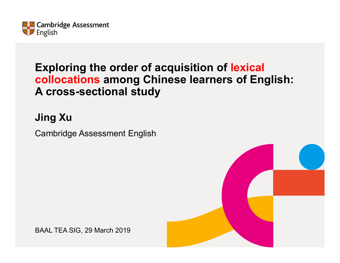

## **Exploring the order of acquisition of lexical collocations among Chinese learners of English: A cross-sectional study**

## **Jing Xu**

Cambridge Assessment English

BAAL TEA SIG, 29 March 2019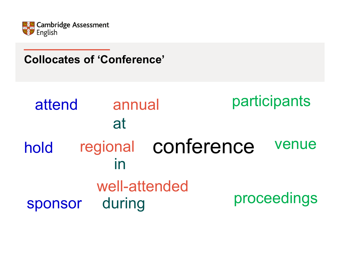

#### **Collocates of 'Conference'**

#### regional conference annual well-attended attendholdsponsor venueproceedings participants at induring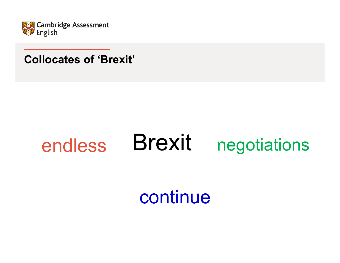

#### **Collocates of 'Brexit'**

#### Brexit endlessnegotiations

# continue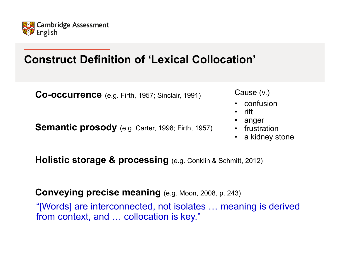

# **Construct Definition of 'Lexical Collocation'**

**Co-occurrence** (e.g. Firth, 1957; Sinclair, 1991)

**Semantic prosody** (e.g. Carter, 1998; Firth, 1957)

Cause (v.)

- confusion
- •rift
- •anger
- frustration
- a kidney stone

**Holistic storage & processing** (e.g. Conklin & Schmitt, 2012)

**Conveying precise meaning** (e.g. Moon, 2008, p. 243)

"[Words] are interconnected, not isolates … meaning is derived from context, and … collocation is key."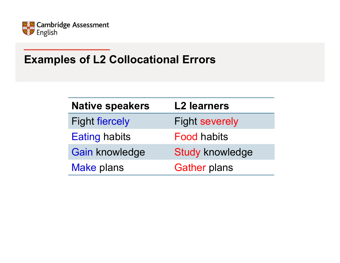

# **Examples of L2 Collocational Errors**

| <b>Native speakers</b> | <b>L2 learners</b>     |
|------------------------|------------------------|
| <b>Fight fiercely</b>  | <b>Fight severely</b>  |
| <b>Eating habits</b>   | <b>Food habits</b>     |
| Gain knowledge         | <b>Study knowledge</b> |
| <b>Make plans</b>      | <b>Gather plans</b>    |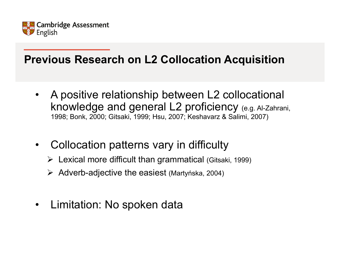

# **Previous Research on L2 Collocation Acquisition**

- • A positive relationship between L2 collocational knowledge and general L2 proficiency (e.g. Al-Zahrani, 1998; Bonk, 2000; Gitsaki, 1999; Hsu, 2007; Keshavarz & Salimi, 2007)
- • Collocation patterns vary in difficulty
	- Lexical more difficult than grammatical (Gitsaki, 1999)
	- Adverb-adjective the easiest (Martyńska, 2004)
- •Limitation: No spoken data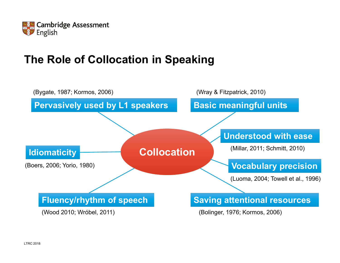

# **The Role of Collocation in Speaking**

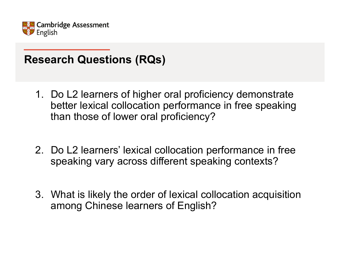

# **Research Questions (RQs)**

- 1. Do L2 learners of higher oral proficiency demonstrate better lexical collocation performance in free speaking than those of lower oral proficiency?
- 2. Do L2 learners' lexical collocation performance in free speaking vary across different speaking contexts?
- 3. What is likely the order of lexical collocation acquisition among Chinese learners of English?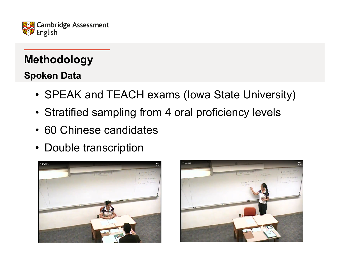

# **Methodology**

#### **Spoken Data**

- SPEAK and TEACH exams (Iowa State University)
- Stratified sampling from 4 oral proficiency levels
- 60 Chinese candidates
- Double transcription



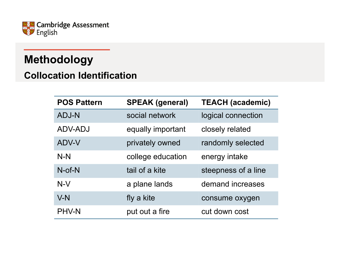

# **Methodology**

#### **Collocation Identification**

| <b>POS Pattern</b> | <b>SPEAK (general)</b> | <b>TEACH (academic)</b> |
|--------------------|------------------------|-------------------------|
| <b>ADJ-N</b>       | social network         | logical connection      |
| ADV-ADJ            | equally important      | closely related         |
| ADV-V              | privately owned        | randomly selected       |
| $N-N$              | college education      | energy intake           |
| $N$ -of- $N$       | tail of a kite         | steepness of a line     |
| $N-V$              | a plane lands          | demand increases        |
| $V-N$              | fly a kite             | consume oxygen          |
| <b>PHV-N</b>       | put out a fire         | cut down cost           |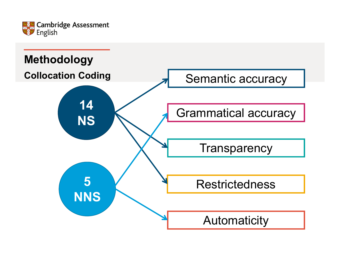

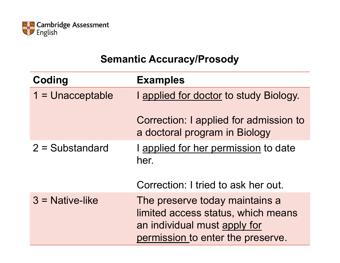

#### **Semantic Accuracy/Prosody**

| Coding             | <b>Examples</b>                                                                                                                           |
|--------------------|-------------------------------------------------------------------------------------------------------------------------------------------|
| $1 =$ Unacceptable | I applied for doctor to study Biology.                                                                                                    |
|                    | Correction: I applied for admission to<br>a doctoral program in Biology                                                                   |
| $2 = Substandard$  | I applied for her permission to date<br>her.                                                                                              |
|                    | Correction: I tried to ask her out.                                                                                                       |
| $3$ = Native-like  | The preserve today maintains a<br>limited access status, which means<br>an individual must apply for<br>permission to enter the preserve. |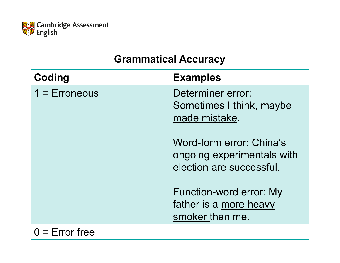

#### **Grammatical Accuracy**

| Coding          | <b>Examples</b>                                                                    |
|-----------------|------------------------------------------------------------------------------------|
| $1 =$ Erroneous | Determiner error:<br>Sometimes I think, maybe<br>made mistake.                     |
|                 | Word-form error: China's<br>ongoing experimentals with<br>election are successful. |
|                 | Function-word error: My<br>father is a more heavy<br>smoker than me.               |
|                 |                                                                                    |

 $0 =$  Error free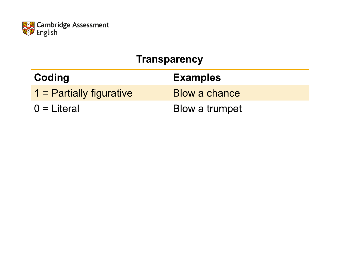

#### **Transparency**

| Coding                   | <b>Examples</b>      |
|--------------------------|----------------------|
| 1 = Partially figurative | <b>Blow a chance</b> |
| $0 =$ Literal            | Blow a trumpet       |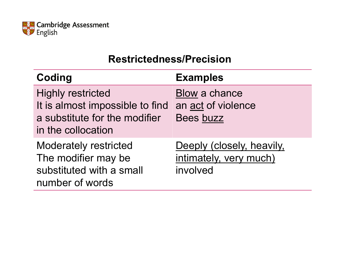

#### **Restrictedness/Precision**

| Coding                                                                                                             | <b>Examples</b>                                                 |
|--------------------------------------------------------------------------------------------------------------------|-----------------------------------------------------------------|
| <b>Highly restricted</b><br>It is almost impossible to find<br>a substitute for the modifier<br>in the collocation | Blow a chance<br>an act of violence<br>Bees buzz                |
| <b>Moderately restricted</b><br>The modifier may be<br>substituted with a small<br>number of words                 | Deeply (closely, heavily,<br>intimately, very much)<br>involved |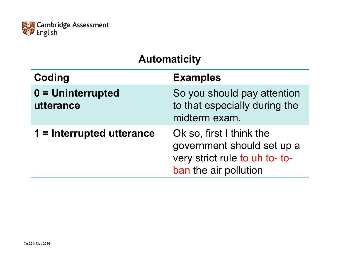

#### **Automaticity**

| Coding                           | <b>Examples</b>                                                                                                   |
|----------------------------------|-------------------------------------------------------------------------------------------------------------------|
| $0 =$ Uninterrupted<br>utterance | So you should pay attention<br>to that especially during the<br>midterm exam.                                     |
| 1 = Interrupted utterance        | Ok so, first I think the<br>government should set up a<br>very strict rule to uh to- to-<br>ban the air pollution |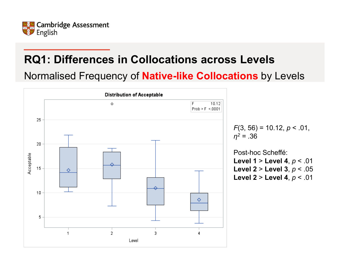

Normalised Frequency of **Native-like Collocations** by Levels

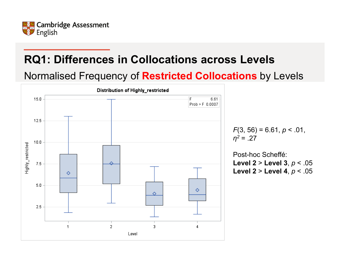

Normalised Frequency of **Restricted Collocations** by Levels

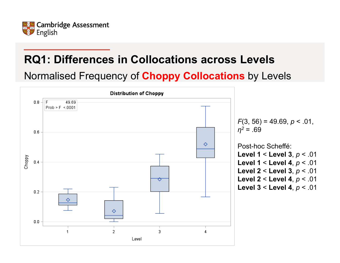

Normalised Frequency of **Choppy Collocations** by Levels

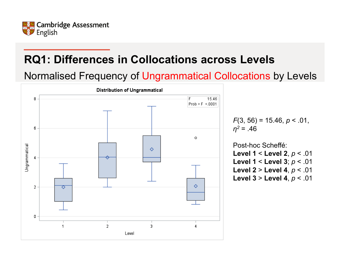

Normalised Frequency of Ungrammatical Collocations by Levels

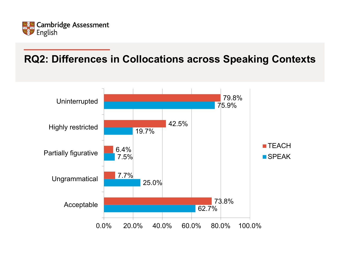

#### **RQ2: Differences in Collocations across Speaking Contexts**

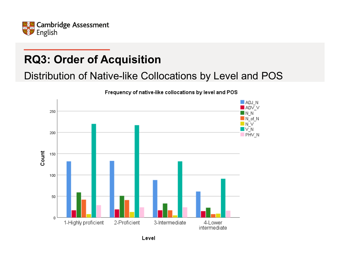

# **RQ3: Order of Acquisition**

Distribution of Native-like Collocations by Level and POS

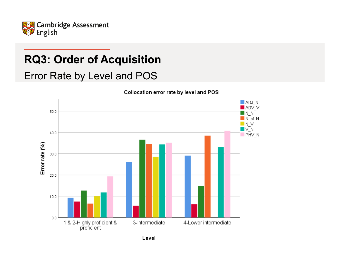

# **RQ3: Order of Acquisition**

Error Rate by Level and POS



Collocation error rate by level and POS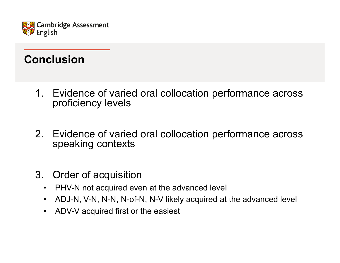

### **Conclusion**

- 1. Evidence of varied oral collocation performance across proficiency levels
- 2. Evidence of varied oral collocation performance across speaking contexts
- 3. Order of acquisition
	- •PHV-N not acquired even at the advanced level
	- $\bullet$ ADJ-N, V-N, N-N, N-of-N, N-V likely acquired at the advanced level
	- •ADV-V acquired first or the easiest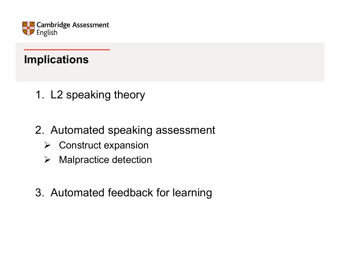

## **Implications**

- 1. L2 speaking theory
- 2. Automated speaking assessment
	- **▶ Construct expansion**
	- $\blacktriangleright$ Malpractice detection
- 3. Automated feedback for learning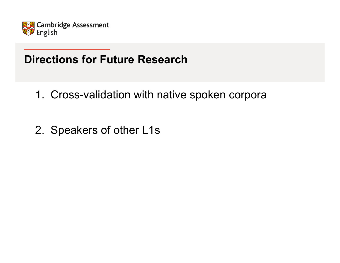

# **Directions for Future Research**

- 1. Cross-validation with native spoken corpora
- 2. Speakers of other L1s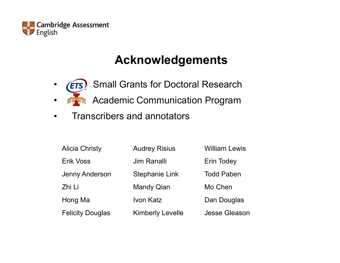

# **Acknowledgements**

- Small Grants for Doctoral Research **ETS**  $\bullet$
- $\bullet$ **RE** Academic Communication Program
- $\bullet$ Transcribers and annotators

| <b>Alicia Christy</b>   | <b>Audrey Risius</b>    | <b>William Lewis</b> |
|-------------------------|-------------------------|----------------------|
| Erik Voss               | <b>Jim Ranalli</b>      | <b>Erin Todey</b>    |
| <b>Jenny Anderson</b>   | <b>Stephanie Link</b>   | <b>Todd Paben</b>    |
| Zhi Li                  | <b>Mandy Qian</b>       | Mo Chen              |
| Hong Ma                 | Ivon Katz               | Dan Douglas          |
| <b>Felicity Douglas</b> | <b>Kimberly Levelle</b> | <b>Jesse Gleason</b> |